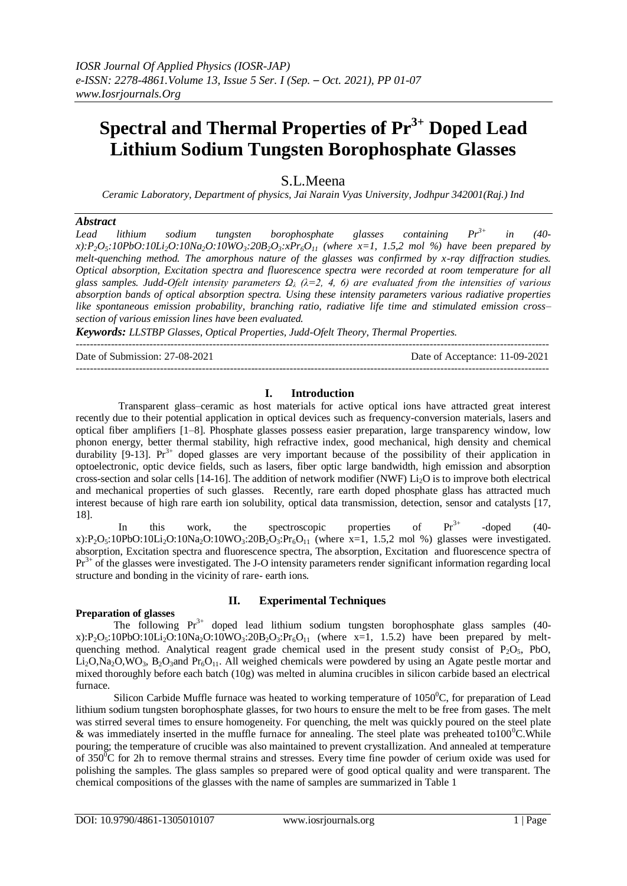# **Spectral and Thermal Properties of Pr 3+ Doped Lead Lithium Sodium Tungsten Borophosphate Glasses**

# S.L.Meena

*Ceramic Laboratory, Department of physics, Jai Narain Vyas University, Jodhpur 342001(Raj.) Ind*

#### *Abstract*

*Lead lithium sodium tungsten borophosphate glasses containing Pr 3+ in (40* x):P<sub>2</sub>O<sub>5</sub>:10PbO:10Li<sub>2</sub>O:10Na<sub>2</sub>O:10WO<sub>3</sub>:20B<sub>2</sub>O<sub>3</sub>:xPr<sub>6</sub>O<sub>11</sub> (where x=1, 1.5,2 mol %) have been prepared by *melt-quenching method. The amorphous nature of the glasses was confirmed by x-ray diffraction studies. Optical absorption, Excitation spectra and fluorescence spectra were recorded at room temperature for all glass samples. Judd-Ofelt intensity parameters Ω<sup>λ</sup> (λ=2, 4, 6) are evaluated from the intensities of various absorption bands of optical absorption spectra. Using these intensity parameters various radiative properties like spontaneous emission probability, branching ratio, radiative life time and stimulated emission cross– section of various emission lines have been evaluated.*

*Keywords: LLSTBP Glasses, Optical Properties, Judd-Ofelt Theory, Thermal Properties.*

---------------------------------------------------------------------------------------------------------------------------------------

Date of Submission: 27-08-2021 Date of Acceptance: 11-09-2021

# **I. Introduction**

---------------------------------------------------------------------------------------------------------------------------------------

Transparent glass–ceramic as host materials for active optical ions have attracted great interest recently due to their potential application in optical devices such as frequency-conversion materials, lasers and optical fiber amplifiers [1–8]. Phosphate glasses possess easier preparation, large transparency window, low phonon energy, better thermal stability, high refractive index, good mechanical, high density and chemical durability  $[9-13]$ . Pr<sup>3+</sup> doped glasses are very important because of the possibility of their application in optoelectronic, optic device fields, such as lasers, fiber optic large bandwidth, high emission and absorption cross-section and solar cells  $[14-16]$ . The addition of network modifier (NWF) Li<sub>2</sub>O is to improve both electrical and mechanical properties of such glasses. Recently, rare earth doped phosphate glass has attracted much interest because of high rare earth ion solubility, optical data transmission, detection, sensor and catalysts [17, 18].

In this work, the spectroscopic properties of  $Pr<sup>3+</sup>$  $-doped$   $(40$ x):P<sub>2</sub>O<sub>5</sub>:10PbO:10Li<sub>2</sub>O:10Na<sub>2</sub>O:10WO<sub>3</sub>:20B<sub>2</sub>O<sub>3</sub>:Pr<sub>6</sub>O<sub>11</sub> (where x=1, 1.5,2 mol %) glasses were investigated. absorption, Excitation spectra and fluorescence spectra, The absorption, Excitation and fluorescence spectra of Pr<sup>3+</sup> of the glasses were investigated. The J-O intensity parameters render significant information regarding local structure and bonding in the vicinity of rare- earth ions.

## **Preparation of glasses**

# **II. Experimental Techniques**

The following  $Pr^{3+}$  doped lead lithium sodium tungsten borophosphate glass samples (40x):P<sub>2</sub>O<sub>5</sub>:10PbO:10Li<sub>2</sub>O:10Na<sub>2</sub>O:10WO<sub>3</sub>:20B<sub>2</sub>O<sub>3</sub>:Pr<sub>6</sub>O<sub>11</sub> (where x=1, 1.5.2) have been prepared by meltquenching method. Analytical reagent grade chemical used in the present study consist of  $P_2O_5$ , PbO,  $Li<sub>2</sub>O$ ,Na<sub>2</sub>O,WO<sub>3</sub>, B<sub>2</sub>O<sub>3</sub>and Pr<sub>6</sub>O<sub>11</sub>. All weighed chemicals were powdered by using an Agate pestle mortar and mixed thoroughly before each batch (10g) was melted in alumina crucibles in silicon carbide based an electrical furnace.

Silicon Carbide Muffle furnace was heated to working temperature of  $1050^{\circ}$ C, for preparation of Lead lithium sodium tungsten borophosphate glasses, for two hours to ensure the melt to be free from gases. The melt was stirred several times to ensure homogeneity. For quenching, the melt was quickly poured on the steel plate & was immediately inserted in the muffle furnace for annealing. The steel plate was preheated to  $100^{\circ}$ C. While pouring; the temperature of crucible was also maintained to prevent crystallization. And annealed at temperature of  $350^0C$  for 2h to remove thermal strains and stresses. Every time fine powder of cerium oxide was used for polishing the samples. The glass samples so prepared were of good optical quality and were transparent. The chemical compositions of the glasses with the name of samples are summarized in Table 1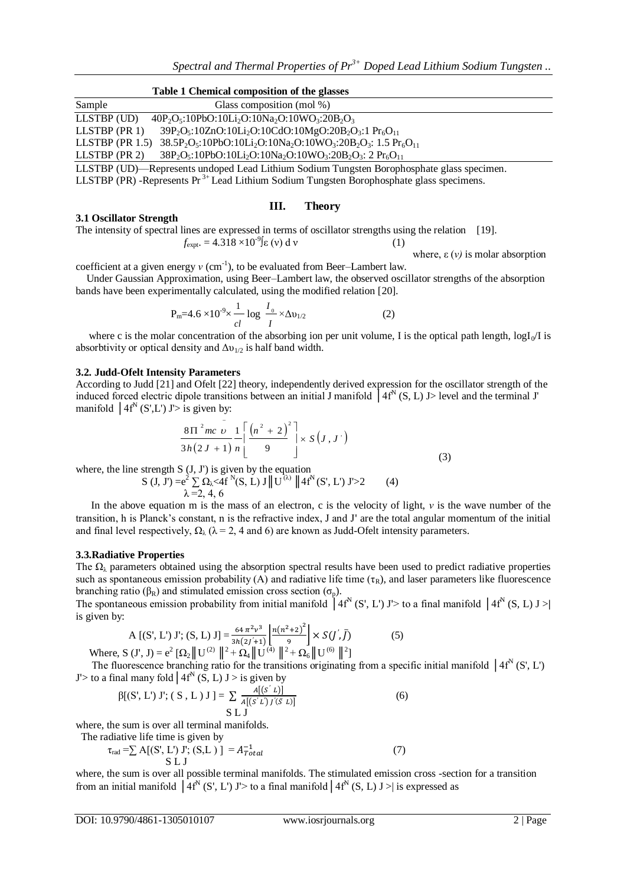|                           | Table 1 Chemical composition of the glasses                                                                                               |  |
|---------------------------|-------------------------------------------------------------------------------------------------------------------------------------------|--|
| Sample                    | Glass composition (mol %)                                                                                                                 |  |
| $LLSTBP$ (UD)             | $40P_2O_5:10PbO:10Li_2O:10Na_2O:10WO_3:20B_2O_3$                                                                                          |  |
| $LLSTBP$ (PR 1)           | 39P <sub>2</sub> O <sub>5</sub> :10ZnO:10Li <sub>2</sub> O:10CdO:10MgO:20B <sub>2</sub> O <sub>3</sub> :1 Pr <sub>6</sub> O <sub>11</sub> |  |
| LLSTBP $(\text{PR } 1.5)$ | $38.5P_2O_5:10PbO:10Li_2O:10Na_2O:10WO_3:20B_2O_3:1.5 Pr_6O_{11}$                                                                         |  |
| $LLSTBP$ (PR 2)           | $38P_2O_5:10PbO:10Li_2O:10Na_2O:10WO_3:20B_2O_3:2Pr_6O_{11}$                                                                              |  |
|                           | LLSTBP (UD)—Represents undoped Lead Lithium Sodium Tungsten Borophosphate glass specimen.                                                 |  |
|                           | LLSTBP (PR) -Represents Pr <sup>3+</sup> Lead Lithium Sodium Tungsten Borophosphate glass specimens.                                      |  |

#### **III. Theory**

#### **3.1 Oscillator Strength**

The intensity of spectral lines are expressed in terms of oscillator strengths using the relation [19].  $f_{\text{expt}} = 4.318 \times 10^{-9} \text{g} \text{ (y) d v}$  (1)

where,  $ε$  (*ν*) is molar absorption

coefficient at a given energy  $v$  (cm<sup>-1</sup>), to be evaluated from Beer–Lambert law.

 Under Gaussian Approximation, using Beer–Lambert law, the observed oscillator strengths of the absorption bands have been experimentally calculated, using the modified relation [20].

$$
P_{m} = 4.6 \times 10^{-9} \times \frac{1}{cl} \log \frac{I_0}{I} \times \Delta v_{1/2}
$$
 (2)

where c is the molar concentration of the absorbing ion per unit volume, I is the optical path length,  $logI_0/I$  is absorbtivity or optical density and  $\Delta v_{1/2}$  is half band width.

#### **3.2. Judd-Ofelt Intensity Parameters**

According to Judd [21] and Ofelt [22] theory, independently derived expression for the oscillator strength of the induced forced electric dipole transitions between an initial J manifold  $4f^N(S, L)$  J> level and the terminal J' manifold  $|4f^N(S',L')|$  J'> is given by:

$$
\frac{8 \pi^{2} mc}{3h(2J+1)} \frac{1}{n} \left[ \frac{(n^{2}+2)^{2}}{9} \right] \times S(J,J')
$$
\n(3)

where, the line strength  $S$  (J, J') is given by the equation

$$
S (J, J') = e^2 \sum_{\lambda = 2, 4, 6} \Omega_{\lambda} < 4f^N(S, L) J || U^{(\lambda)} || 4f^N(S', L') J' > 2
$$
 (4)

 In the above equation m is the mass of an electron, c is the velocity of light, *ν* is the wave number of the transition, h is Planck's constant, n is the refractive index, J and J' are the total angular momentum of the initial and final level respectively,  $\Omega_{\lambda}$  ( $\lambda = 2$ , 4 and 6) are known as Judd-Ofelt intensity parameters.

#### **3.3.Radiative Properties**

The  $\Omega_{\lambda}$  parameters obtained using the absorption spectral results have been used to predict radiative properties such as spontaneous emission probability (A) and radiative life time ( $\tau_R$ ), and laser parameters like fluorescence branching ratio ( $\beta_R$ ) and stimulated emission cross section ( $\sigma_p$ ).

The spontaneous emission probability from initial manifold  $4f^N(S', L')$  J'> to a final manifold  $4f^N(S, L)$  J > is given by:

$$
A [(S', L') J'; (S, L) J] = \frac{64 \pi^2 \nu^3}{3h(2j+1)} \left[ \frac{n(n^2+2)^2}{9} \right] \times S(J', \bar{J})
$$
(5)  
Where, S (J', J) = e<sup>2</sup>  $[\Omega_2 || U^{(2)} ||^2 + \Omega_4 || U^{(4)} ||^2 + \Omega_6 || U^{(6)} ||^2]$ 

The fluorescence branching ratio for the transitions originating from a specific initial manifold  $|4f^N(S, L')|$ J'> to a final many fold  $4f^N(S, L)$  J > is given by

$$
\beta[(S', L') J'; (S, L) J] = \sum_{A} \frac{A[(S' L)]}{A[(S' L) J'(\bar{S} L)]}
$$
\n(6)

where, the sum is over all terminal manifolds.

The radiative life time is given by

$$
\tau_{\text{rad}} = \sum A[(S', L') J'; (S, L) ] = A_{Total}^{-1}
$$
\n
$$
S L J
$$
\n(7)

where, the sum is over all possible terminal manifolds. The stimulated emission cross -section for a transition from an initial manifold  $\left[4f^N(S', L')\right]$  J > to a final manifold  $\left[4f^N(S, L)\right]$  J > is expressed as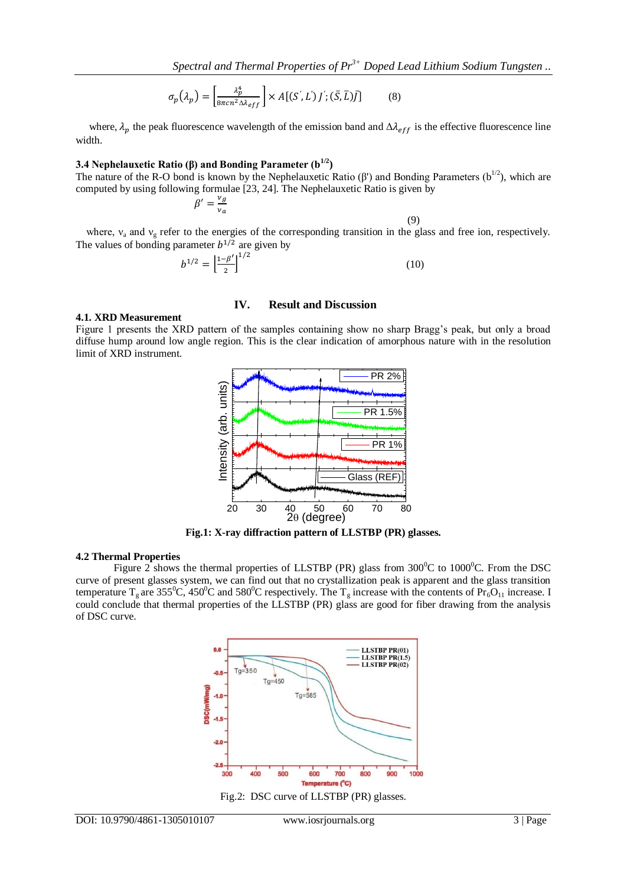$$
\sigma_p(\lambda_p) = \left[\frac{\lambda_p^4}{8\pi c n^2 \Delta \lambda_{eff}}\right] \times A[(S', L')j'; (\bar{S}, \bar{L})\bar{J}] \tag{8}
$$

where,  $\lambda_p$  the peak fluorescence wavelength of the emission band and  $\Delta \lambda_{eff}$  is the effective fluorescence line width.

#### **3.4 Nephelauxetic Ratio (β) and Bonding Parameter (b1/2)**

The nature of the R-O bond is known by the Nephelauxetic Ratio  $(\beta')$  and Bonding Parameters  $(b^{1/2})$ , which are computed by using following formulae [23, 24]. The Nephelauxetic Ratio is given by

$$
\beta' = \frac{v_g}{v_a}
$$

(9)

where,  $v_a$  and  $v_g$  refer to the energies of the corresponding transition in the glass and free ion, respectively. The values of bonding parameter  $b^{1/2}$  are given by

$$
b^{1/2} = \left(\frac{1-\beta'}{2}\right)^{1/2} \tag{10}
$$

# **IV. Result and Discussion**

### **4.1. XRD Measurement**

Figure 1 presents the XRD pattern of the samples containing show no sharp Bragg's peak, but only a broad diffuse hump around low angle region. This is the clear indication of amorphous nature with in the resolution limit of XRD instrument.



**Fig.1: X-ray diffraction pattern of LLSTBP (PR) glasses.**

#### **4.2 Thermal Properties**

Figure 2 shows the thermal properties of LLSTBP (PR) glass from  $300^{\circ}$ C to  $1000^{\circ}$ C. From the DSC curve of present glasses system, we can find out that no crystallization peak is apparent and the glass transition temperature T<sub>g</sub> are 355<sup>o</sup>C, 450<sup>o</sup>C and 580<sup>o</sup>C respectively. The T<sub>g</sub> increase with the contents of Pr<sub>6</sub>O<sub>11</sub> increase. I could conclude that thermal properties of the LLSTBP (PR) glass are good for fiber drawing from the analysis of DSC curve.

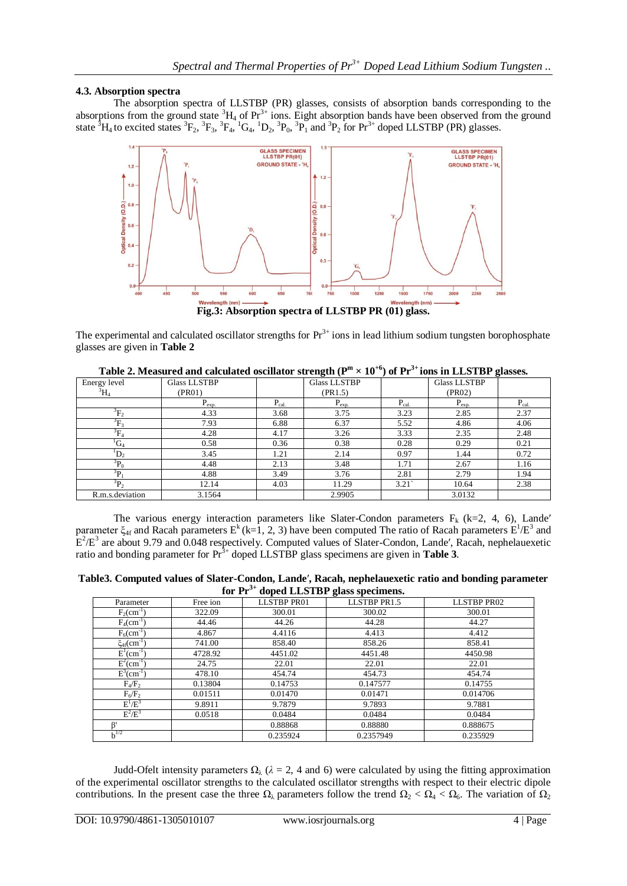## **4.3. Absorption spectra**

The absorption spectra of LLSTBP (PR) glasses, consists of absorption bands corresponding to the absorptions from the ground state  ${}^{3}H_4$  of  $Pr^{3+}$  ions. Eight absorption bands have been observed from the ground state <sup>3</sup>H<sub>4</sub> to excited states <sup>3</sup>F<sub>2</sub>, <sup>3</sup>F<sub>3</sub>, <sup>3</sup>F<sub>4</sub>, <sup>1</sup>G<sub>4</sub>, <sup>1</sup>D<sub>2</sub>, <sup>3</sup>P<sub>0</sub>, <sup>3</sup>P<sub>1</sub> and <sup>3</sup>P<sub>2</sub> for Pr<sup>3+</sup> doped LLSTBP (PR) glasses.



**Fig.3: Absorption spectra of LLSTBP PR (01) glass.**

The experimental and calculated oscillator strengths for  $Pr^{3+}$  ions in lead lithium sodium tungsten borophosphate glasses are given in **Table 2**

|                               |                     |             |                     |             |                     | $\sigma$ ------- |
|-------------------------------|---------------------|-------------|---------------------|-------------|---------------------|------------------|
| Energy level                  | <b>Glass LLSTBP</b> |             | <b>Glass LLSTBP</b> |             | <b>Glass LLSTBP</b> |                  |
| $^5\text{H}_4$                | (PR01)              |             | (PR1.5)             |             | (PR02)              |                  |
|                               | $P_{exp.}$          | $P_{cal}$ . | $P_{exp.}$          | $P_{cal}$ . | $P_{exp.}$          | $P_{cal}$ .      |
| $\mathrm{^{5}F_{2}}$          | 4.33                | 3.68        | 3.75                | 3.23        | 2.85                | 2.37             |
| $\mathrm{P}_{\mathrm{F}_{3}}$ | 7.93                | 6.88        | 6.37                | 5.52        | 4.86                | 4.06             |
| $\overline{^3F_4}$            | 4.28                | 4.17        | 3.26                | 3.33        | 2.35                | 2.48             |
| ${}^{1}G_4$                   | 0.58                | 0.36        | 0.38                | 0.28        | 0.29                | 0.21             |
| $D_2$                         | 3.45                | 1.21        | 2.14                | 0.97        | 1.44                | 0.72             |
| $\overline{P}_0$              | 4.48                | 2.13        | 3.48                | 1.71        | 2.67                | 1.16             |
| źр,                           | 4.88                | 3.49        | 3.76                | 2.81        | 2.79                | 1.94             |
| $^{5}P_{2}$                   | 12.14               | 4.03        | 11.29               | 3.21        | 10.64               | 2.38             |
| R.m.s.deviation               | 3.1564              |             | 2.9905              |             | 3.0132              |                  |

Table 2. Measured and calculated oscillator strength ( $P^m \times 10^{+6}$ ) of  $Pr^{3+}$ ions in LLSTBP glasses.

The various energy interaction parameters like Slater-Condon parameters  $F_k$  (k=2, 4, 6), Lande' parameter  $\xi_{4f}$  and Racah parameters  $E^k$  (k=1, 2, 3) have been computed The ratio of Racah parameters  $E^1/E^3$  and  $E^2/E^3$  are about 9.79 and 0.048 respectively. Computed values of Slater-Condon, Lande', Racah, nephelauexetic ratio and bonding parameter for Pr 3+ doped LLSTBP glass specimens are given in **Table 3**.

**Table3. Computed values of Slater-Condon, Lande**′**, Racah, nephelauexetic ratio and bonding parameter for Pr 3+ doped LLSTBP glass specimens.**

| 101 1 1<br>appea LLDTDI glass specificilis. |          |                    |              |             |  |  |  |  |  |
|---------------------------------------------|----------|--------------------|--------------|-------------|--|--|--|--|--|
| Parameter                                   | Free ion | <b>LLSTBP PR01</b> | LLSTBP PR1.5 | LLSTBP PR02 |  |  |  |  |  |
| $F_2$ (cm <sup>-1</sup> )                   | 322.09   | 300.01             | 300.02       | 300.01      |  |  |  |  |  |
| $\overline{F}_4$ (cm <sup>-1</sup> )        | 44.46    | 44.26              | 44.28        | 44.27       |  |  |  |  |  |
| $F_6$ (cm <sup>-1</sup> )                   | 4.867    | 4.4116             | 4.413        | 4.412       |  |  |  |  |  |
| $\xi_{4\text{f}}(\text{cm}^{-1})$           | 741.00   | 858.40             | 858.26       | 858.41      |  |  |  |  |  |
| $E^1$ (cm <sup>-1</sup> )                   | 4728.92  | 4451.02            | 4451.48      | 4450.98     |  |  |  |  |  |
| $E^{2}(cm^{-1})$                            | 24.75    | 22.01              | 22.01        | 22.01       |  |  |  |  |  |
| $E^3$ (cm <sup>-1</sup> )                   | 478.10   | 454.74             | 454.73       | 454.74      |  |  |  |  |  |
| $F_4/F_2$                                   | 0.13804  | 0.14753            | 0.147577     | 0.14755     |  |  |  |  |  |
| $F_6/F_2$                                   | 0.01511  | 0.01470            | 0.01471      | 0.014706    |  |  |  |  |  |
| $E^1/E^3$                                   | 9.8911   | 9.7879             | 9.7893       | 9.7881      |  |  |  |  |  |
| $E^2/E^3$                                   | 0.0518   | 0.0484             | 0.0484       | 0.0484      |  |  |  |  |  |
| R'                                          |          | 0.88868            | 0.88880      | 0.888675    |  |  |  |  |  |
| $h^{1/2}$                                   |          | 0.235924           | 0.2357949    | 0.235929    |  |  |  |  |  |

Judd-Ofelt intensity parameters  $\Omega_{\lambda}$  ( $\lambda = 2$ , 4 and 6) were calculated by using the fitting approximation of the experimental oscillator strengths to the calculated oscillator strengths with respect to their electric dipole contributions. In the present case the three  $\Omega_{\lambda}$  parameters follow the trend  $\Omega_2 < \Omega_4 < \Omega_6$ . The variation of  $\Omega_2$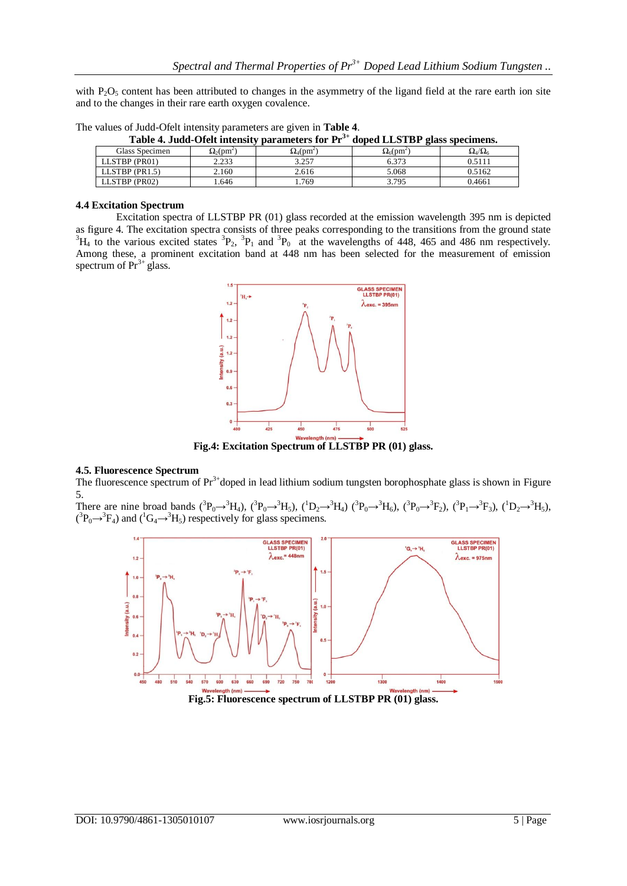with P<sub>2</sub>O<sub>5</sub> content has been attributed to changes in the asymmetry of the ligand field at the rare earth ion site and to the changes in their rare earth oxygen covalence.

| Table 4. Judd-Ofelt intensity parameters for $Pr^{3+}$ doped LLSTBP glass specimens. |                               |                               |                               |                     |  |  |  |  |  |  |
|--------------------------------------------------------------------------------------|-------------------------------|-------------------------------|-------------------------------|---------------------|--|--|--|--|--|--|
| Glass Specimen                                                                       | $\Omega_2$ (pm <sup>2</sup> ) | $\Omega_4$ (pm <sup>2</sup> ) | $\Omega_6$ (pm <sup>2</sup> ) | $\Omega_4/\Omega_6$ |  |  |  |  |  |  |
| LLSTBP (PR01)                                                                        | 2.233                         | 3.257                         | 6.373                         | 0.5111              |  |  |  |  |  |  |
| LLSTBP (PR1.5)                                                                       | 2.160                         | 2.616                         | 5.068                         | 0.5162              |  |  |  |  |  |  |
| LLSTBP (PR02)                                                                        | 1.646                         | .769                          | 3.795                         | 0.4661              |  |  |  |  |  |  |

The values of Judd-Ofelt intensity parameters are given in **Table 4**.

#### **4.4 Excitation Spectrum**

Excitation spectra of LLSTBP PR (01) glass recorded at the emission wavelength 395 nm is depicted as figure 4. The excitation spectra consists of three peaks corresponding to the transitions from the ground state  ${}^{3}H_{4}$  to the various excited states  ${}^{3}P_{2}$ ,  ${}^{3}P_{1}$  and  ${}^{3}P_{0}$  at the wavelengths of 448, 465 and 486 nm respectively. Among these, a prominent excitation band at 448 nm has been selected for the measurement of emission spectrum of  $Pr<sup>3+</sup>$  glass.



**Fig.4: Excitation Spectrum of LLSTBP PR (01) glass.**

#### **4.5. Fluorescence Spectrum**

The fluorescence spectrum of  $Pr^{3+}$ doped in lead lithium sodium tungsten borophosphate glass is shown in Figure 5.

There are nine broad bands  $({}^{3}P_{0} \rightarrow {}^{3}H_{4})$ ,  $({}^{3}P_{0} \rightarrow {}^{3}H_{5})$ ,  $({}^{1}D_{2} \rightarrow {}^{3}H_{4})$   $({}^{3}P_{0} \rightarrow {}^{3}H_{6})$ ,  $({}^{3}P_{0} \rightarrow {}^{3}F_{2})$ ,  $({}^{3}P_{1} \rightarrow {}^{3}F_{3})$ ,  $({}^{1}D_{2} \rightarrow {}^{3}H_{5})$ ,  $({}^{3}P_{0} \rightarrow {}^{3}F_{4})$  and  $({}^{1}G_{4} \rightarrow {}^{3}H_{5})$  respectively for glass specimens.



**Fig.5: Fluorescence spectrum of LLSTBP PR (01) glass.**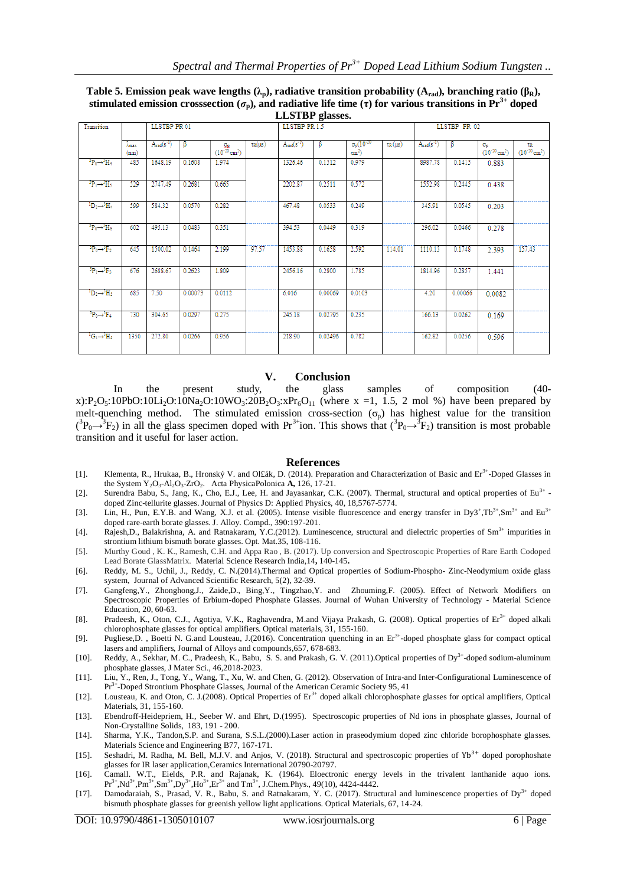| Table 5. Emission peak wave lengths ( $\lambda_p$ ), radiative transition probability ( $A_{rad}$ ), branching ratio ( $\beta_R$ ),  |  |  |  |  |  |  |  |
|--------------------------------------------------------------------------------------------------------------------------------------|--|--|--|--|--|--|--|
| stimulated emission crosssection $(\sigma_n)$ , and radiative life time ( $\tau$ ) for various transitions in Pr <sup>3+</sup> doped |  |  |  |  |  |  |  |
| <b>LLSTRP</b> glasses                                                                                                                |  |  |  |  |  |  |  |

| <b>DEDITED</b> SHOPPS.                      |                           |                   |         |                                                   |                            |                   |         |                                         |                       |                   |         |                                      |                                      |
|---------------------------------------------|---------------------------|-------------------|---------|---------------------------------------------------|----------------------------|-------------------|---------|-----------------------------------------|-----------------------|-------------------|---------|--------------------------------------|--------------------------------------|
| Transition                                  |                           | LLSTBP PR 01      |         |                                                   |                            | LLSTBP PR 1.5     |         |                                         | <b>LLSTBP PR 02</b>   |                   |         |                                      |                                      |
|                                             | λ <sub>ειακ</sub><br>(mm) | $A_{rad}(s^{-1})$ | ß       | $\Omega_{\rm B}$<br>$(10^{-20}$ cm <sup>2</sup> ) | $\tau_{\rm R}(\mu{\rm s})$ | $A_{rad}(s^{-1})$ | β       | $\sigma_p (10^{-20}$<br>$\text{cm}^2$ ) | $\tau_{\rm R}(\mu s)$ | $A_{rad}(s^{-1})$ | ß       | Op.<br>$(10^{-20}$ cm <sup>2</sup> ) | TR.<br>$(10^{-20}$ cm <sup>2</sup> ) |
| $\rm ^3P_0 \rightarrow ^3H_4$               | 485                       | 1648.19           | 0.1608  | 1.974                                             |                            | 1326.46           | 0.1512  | 0.979                                   |                       | 8987.78           | 0.1415  | 0.883                                |                                      |
| ${}^3P_1 \rightarrow {}^3H_5$               | 529                       | 2747.49           | 0.2681  | 0.665                                             |                            | 2202.87           | 0.2511  | 0.572                                   |                       | 1552.98           | 0.2445  | 0.438                                |                                      |
| ${}^{1}D_{2} \rightarrow {}^{3}H_{4}$       | 599                       | 584.32            | 0.0570  | 0.282                                             |                            | 467.48            | 0.0533  | 0.249                                   |                       | 345.91            | 0.0545  | 0.203                                |                                      |
| $\rm ^3P_0 \rightarrow ^3H_6$               | 602                       | 495.13            | 0.0483  | 0.351                                             |                            | 394.53            | 0.0449  | 0.319                                   |                       | 296.02            | 0.0466  | 0.278                                |                                      |
| ${}^{3}P_0 \rightarrow {}^{3}F_2$           | 645                       | 1500.02           | 0.1464  | 2.199                                             | 97.57                      | 1453.88           | 0.1658  | 2.592                                   | 114.01                | 1110.13           | 0.1748  | 2.393                                | 157.43                               |
| ${}^3P_1 \rightarrow {}^3F_3$               | 676                       | 2688.67           | 0.2623  | 1.809                                             |                            | 2456.16           | 0.2800  | 1.785                                   |                       | 1814.96           | 0.2857  | 1.441                                |                                      |
| ${}^{1}D_{2} \rightarrow {}^{5}H_{5}$       | 685                       | 7.50              | 0.00073 | 0.0112                                            |                            | 6.016             | 0.00069 | 0.0103                                  |                       | 4.20              | 0.00066 | 0.0082                               |                                      |
| $\overline{P_0 \rightarrow P_4}$            | 730                       | 304.65            | 0.0297  | 0.275                                             |                            | 245.18            | 0.02795 | 0.235                                   |                       | 166.13            | 0.0262  | 0.169                                |                                      |
| ${}^1\text{G}_4 \rightarrow {}^3\text{H}_5$ | 1350                      | 272.80            | 0.0266  | 0.956                                             |                            | 218.90            | 0.02496 | 0.782                                   |                       | 162.82            | 0.0256  | 0.596                                |                                      |

#### **V. Conclusion**

In the present study, the glass samples of composition (40 x):P<sub>2</sub>O<sub>5</sub>:10PbO:10Li<sub>2</sub>O:10Na<sub>2</sub>O:10WO<sub>3</sub>:20B<sub>2</sub>O<sub>3</sub>:xPr<sub>6</sub>O<sub>11</sub> (where x =1, 1.5, 2 mol %) have been prepared by melt-quenching method. The stimulated emission cross-section  $(\sigma_n)$  has highest value for the transition  $({}^3P_0\rightarrow {}^3F_2)$  in all the glass specimen doped with Pr<sup>3+</sup>ion. This shows that  $({}^3P_0\rightarrow {}^3F_2)$  transition is most probable transition and it useful for laser action.

#### **References**

- [1]. Klementa, R., Hrukaa, B., Hronský V. and Ol£ák, D. (2014). Preparation and Characterization of Basic and Er<sup>3+</sup>-Doped Glasses in the System Y2O3-Al2O3-ZrO2. Acta PhysicaPolonica **A,** 126, 17-21.
- [2]. Surendra Babu, S., Jang, K., Cho, E.J., Lee, H. and Jayasankar, C.K. (2007). Thermal, structural and optical properties of Eu<sup>3+</sup> doped Zinc-tellurite glasses. Journal of Physics D: Applied Physics, 40, 18,5767-5774.
- [3]. Lin, H., Pun, E.Y.B. and Wang, X.J. et al. (2005). Intense visible fluorescence and energy transfer in Dy3+,Tb<sup>3+</sup>,Sm<sup>3+</sup> and Eu<sup>3+</sup> doped rare-earth borate glasses. J. Alloy. Compd., 390:197-201.
- [4]. Rajesh,D., Balakrishna, A. and Ratnakaram, Y.C.(2012). Luminescence, structural and dielectric properties of  $Sm<sup>3+</sup>$  impurities in strontium lithium bismuth borate glasses. Opt. Mat.35, 108-116.
- [5]. Murthy Goud , K. K., Ramesh, C.H. and Appa Rao , B. (2017). Up conversion and Spectroscopic Properties of Rare Earth Codoped Lead Borate GlassMatrix. Material Science Research India,14**,** 140-145**.**
- [6]. Reddy, M. S., Uchil, J., Reddy, C. N.(2014).Thermal and Optical properties of Sodium-Phospho- Zinc-Neodymium oxide glass system, Journal of Advanced Scientific Research, 5(2), 32-39.
- [7]. Gangfeng,Y., Zhonghong,J., Zaide,D., Bing,Y., Tingzhao,Y. and Zhouming,F. (2005). Effect of Network Modifiers on Spectroscopic Properties of Erbium-doped Phosphate Glasses. Journal of Wuhan University of Technology - Material Science Education, 20, 60-63.
- [8]. Pradeesh, K., Oton, C.J., Agotiya, V.K., Raghavendra, M.and Vijaya Prakash, G. (2008). Optical properties of Er<sup>3+</sup> doped alkali chlorophosphate glasses for optical amplifiers. Optical materials, 31, 155-160.
- [9]. Pugliese, D., Boetti N. G.and Lousteau, J.(2016). Concentration quenching in an Er<sup>3+</sup>-doped phosphate glass for compact optical lasers and amplifiers, Journal of Alloys and compounds,657, 678-683.
- [10]. Reddy, A., Sekhar, M. C., Pradeesh, K., Babu, S. S. and Prakash, G. V. (2011). Optical properties of Dy<sup>3+</sup>-doped sodium-aluminum phosphate glasses, J Mater Sci., 46,2018-2023.
- [11]. Liu, Y., Ren, J., Tong, Y., Wang, T., Xu, W. and Chen, G. (2012). Observation of Intra-and Inter-Configurational Luminescence of Pr<sup>3+</sup>-Doped Strontium Phosphate Glasses, Journal of the American Ceramic Society 95, 41
- [12]. Lousteau, K. and Oton, C. J.(2008). Optical Properties of Er<sup>3+</sup> doped alkali chlorophosphate glasses for optical amplifiers, Optical Materials, 31, 155-160.
- [13]. Ebendroff-Heidepriem, H., Seeber W. and Ehrt, D.(1995). Spectroscopic properties of Nd ions in phosphate glasses, Journal of Non-Crystalline Solids, 183, 191 - 200.
- [14]. Sharma, Y.K., Tandon,S.P. and Surana, S.S.L.(2000).Laser action in praseodymium doped zinc chloride borophosphate gla sses. Materials Science and Engineering B77, 167-171.
- [15]. Seshadri, M. Radha, M. Bell, M.J.V. and Anjos, V. (2018). Structural and spectroscopic properties of  $Yb^{3+}$  doped porophoshate glasses for IR laser application,Ceramics International 20790-20797.
- [16]. Camall. W.T., Eields, P.R. and Rajanak, K. (1964). Eloectronic energy levels in the trivalent lanthanide aquo ions.  $Pr<sup>3+</sup>, Nd<sup>3+</sup>, Pr<sup>3+</sup>, Ho<sup>3+</sup>, Ho<sup>3+</sup>, Ho<sup>3+</sup>, Ho<sup>3+</sup>, Ho<sup>3+</sup>, and Tm<sup>3+</sup>, J. Chem. Phys., 49(10), 4424-$
- [17]. Damodaraiah, S., Prasad, V. R., Babu, S. and Ratnakaram, Y. C. (2017). Structural and luminescence properties of Dy<sup>3+</sup> doped bismuth phosphate glasses for greenish yellow light applications. Optical Materials, 67, 14-24.